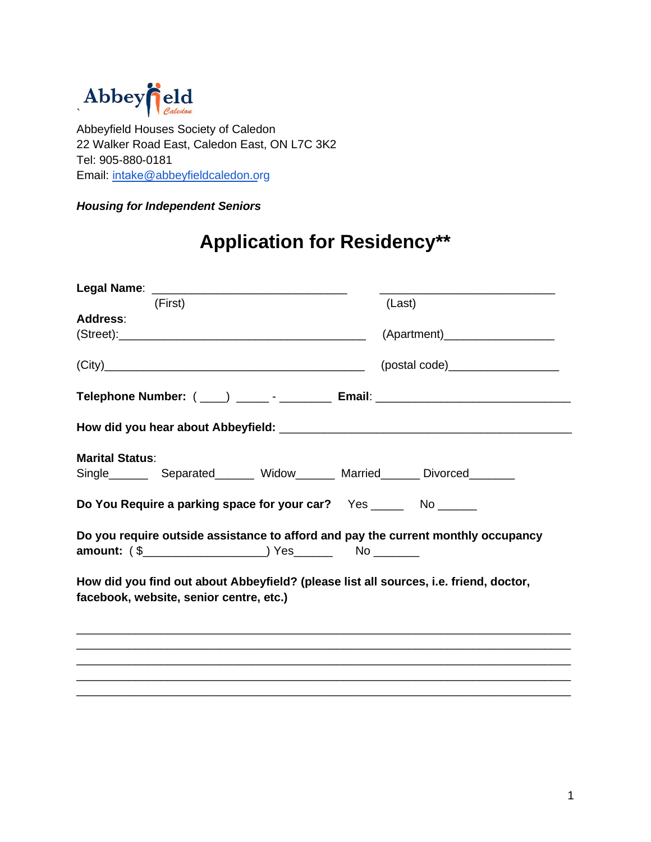

Abbeyfield Houses Society of Caledon 22 Walker Road East, Caledon East, ON L7C 3K2 Tel: 905-880-0181 Email: intake[@abbeyfieldcaledon.org](mailto:intake@abbeyfieldcaledon.org)

*Housing for Independent Seniors*

## **Application for Residency\*\***

| Legal Name:                                                                                                                      |        |
|----------------------------------------------------------------------------------------------------------------------------------|--------|
| (First)                                                                                                                          | (Last) |
| <b>Address:</b>                                                                                                                  |        |
|                                                                                                                                  |        |
| (City)                                                                                                                           |        |
| Telephone Number: ( ___ ) _______- ___________ Email: ___________________________                                                |        |
|                                                                                                                                  |        |
| <b>Marital Status:</b>                                                                                                           |        |
| Single ________ Separated________ Widow_______ Married_______ Divorced________                                                   |        |
| Do You Require a parking space for your car? Yes _______ No ______                                                               |        |
| Do you require outside assistance to afford and pay the current monthly occupancy                                                |        |
| How did you find out about Abbeyfield? (please list all sources, i.e. friend, doctor,<br>facebook, website, senior centre, etc.) |        |
|                                                                                                                                  |        |
|                                                                                                                                  |        |
|                                                                                                                                  |        |
|                                                                                                                                  |        |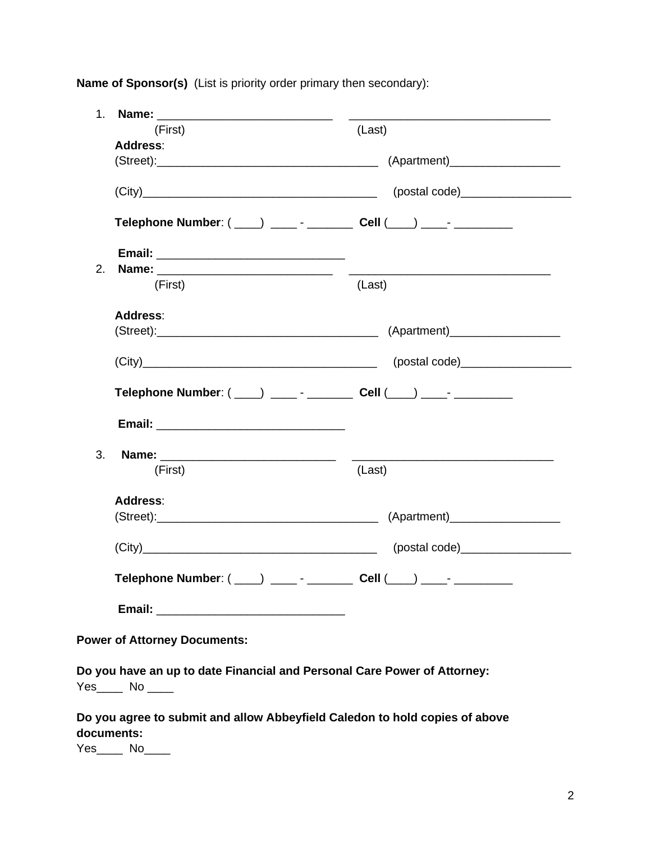**Name of Sponsor(s)** (List is priority order primary then secondary):

| 1 <sub>1</sub>                                                             |                                                                                                                      |
|----------------------------------------------------------------------------|----------------------------------------------------------------------------------------------------------------------|
| (First)                                                                    | (Last)                                                                                                               |
| Address:                                                                   |                                                                                                                      |
|                                                                            | (Street): (Street): (Apartment)                                                                                      |
|                                                                            |                                                                                                                      |
| Telephone Number: ( ____ ) _____ - _________ Cell ( ___ ) ____ - _________ |                                                                                                                      |
|                                                                            |                                                                                                                      |
| 2.                                                                         | <u> 2000 - Jan James James Jan James James James James James James James James James James James James James Jam</u> |
| (First)                                                                    | (Last)                                                                                                               |
| <b>Address:</b>                                                            |                                                                                                                      |
|                                                                            | (Street): (8treet): (Apartment)                                                                                      |
|                                                                            |                                                                                                                      |
| Telephone Number: ( ___) _____- _________ Cell ( ___) ____- _________      |                                                                                                                      |
|                                                                            |                                                                                                                      |
| 3.                                                                         |                                                                                                                      |
| (First)                                                                    | (Last)                                                                                                               |
| Address:                                                                   |                                                                                                                      |
|                                                                            | (Street): (8treet): (Apartment)                                                                                      |
|                                                                            |                                                                                                                      |
| Telephone Number: (___) ____- - ________ Cell (___) ____- ________         |                                                                                                                      |
|                                                                            |                                                                                                                      |
|                                                                            |                                                                                                                      |

**Power of Attorney Documents:**

**Do you have an up to date Financial and Personal Care Power of Attorney:**  Yes\_\_\_\_\_ No \_\_\_\_\_

**Do you agree to submit and allow Abbeyfield Caledon to hold copies of above documents:** 

Yes<sup>No</sup>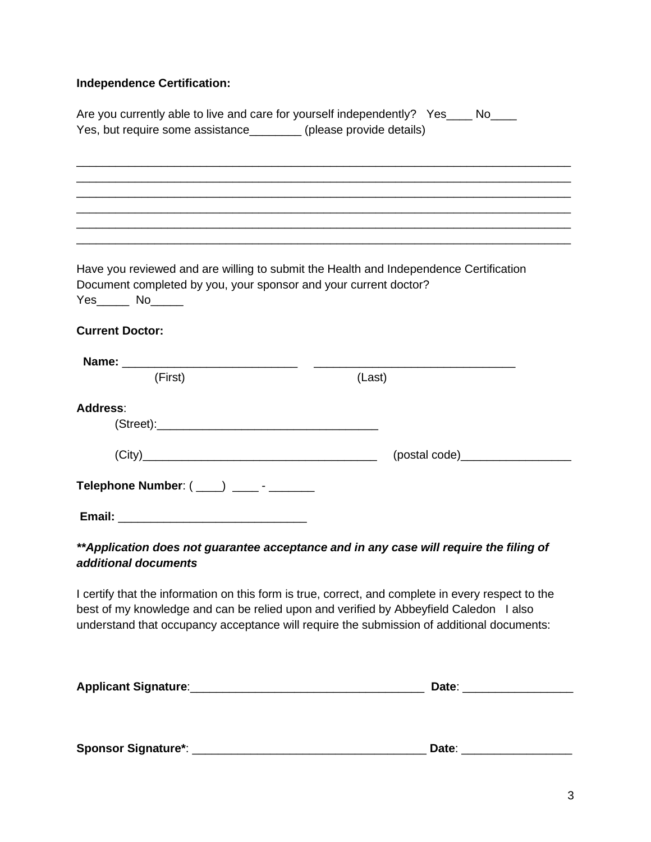## **Independence Certification:**

| Yes, but require some assistance________ (please provide details) | Are you currently able to live and care for yourself independently? Yes____ No___                                                                                                  |
|-------------------------------------------------------------------|------------------------------------------------------------------------------------------------------------------------------------------------------------------------------------|
|                                                                   |                                                                                                                                                                                    |
|                                                                   |                                                                                                                                                                                    |
|                                                                   |                                                                                                                                                                                    |
|                                                                   |                                                                                                                                                                                    |
|                                                                   |                                                                                                                                                                                    |
| Document completed by you, your sponsor and your current doctor?  | Have you reviewed and are willing to submit the Health and Independence Certification                                                                                              |
| $Yes$ No $\qquad$                                                 |                                                                                                                                                                                    |
| <b>Current Doctor:</b>                                            |                                                                                                                                                                                    |
|                                                                   |                                                                                                                                                                                    |
| (First)                                                           | (Last)                                                                                                                                                                             |
|                                                                   |                                                                                                                                                                                    |
| Address:                                                          |                                                                                                                                                                                    |
|                                                                   |                                                                                                                                                                                    |
| (City)                                                            |                                                                                                                                                                                    |
| Telephone Number: ( ___) ____- - ______                           |                                                                                                                                                                                    |
|                                                                   |                                                                                                                                                                                    |
|                                                                   | ** Application does not guarantee acceptance and in any case will require the filing of                                                                                            |
| additional documents                                              |                                                                                                                                                                                    |
|                                                                   | I certify that the information on this form is true, correct, and complete in every respect to the                                                                                 |
|                                                                   | best of my knowledge and can be relied upon and verified by Abbeyfield Caledon I also<br>understand that occupancy acceptance will require the submission of additional documents: |
|                                                                   | Date: _______                                                                                                                                                                      |

| <b>Sponsor Signature*:</b> | ה+הו |
|----------------------------|------|
|                            |      |